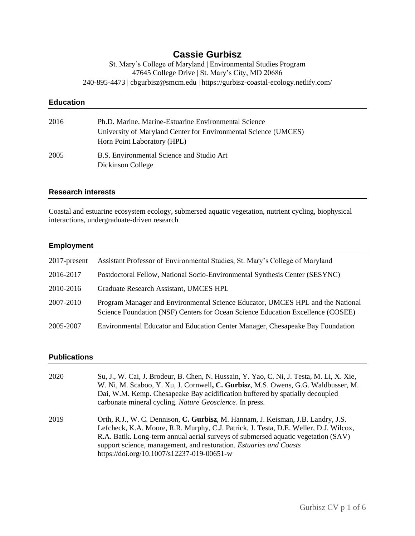# **Cassie Gurbisz**

St. Mary's College of Maryland | Environmental Studies Program 47645 College Drive | St. Mary's City, MD 20686 240-895-4473 | [cbgurbisz@smcm.edu](mailto:cbgurbisz@smcm.edu) | https://gurbisz-coastal-ecology.netlify.com/

| <b>Education</b> |                                                                                                                                                        |
|------------------|--------------------------------------------------------------------------------------------------------------------------------------------------------|
| 2016             | Ph.D. Marine, Marine-Estuarine Environmental Science<br>University of Maryland Center for Environmental Science (UMCES)<br>Horn Point Laboratory (HPL) |
| 2005             | B.S. Environmental Science and Studio Art<br>Dickinson College                                                                                         |

### **Research interests**

Coastal and estuarine ecosystem ecology, submersed aquatic vegetation, nutrient cycling, biophysical interactions, undergraduate-driven research

### **Employment**

| 2017-present | Assistant Professor of Environmental Studies, St. Mary's College of Maryland                                                                                      |  |
|--------------|-------------------------------------------------------------------------------------------------------------------------------------------------------------------|--|
| 2016-2017    | Postdoctoral Fellow, National Socio-Environmental Synthesis Center (SESYNC)                                                                                       |  |
| 2010-2016    | Graduate Research Assistant, UMCES HPL                                                                                                                            |  |
| 2007-2010    | Program Manager and Environmental Science Educator, UMCES HPL and the National<br>Science Foundation (NSF) Centers for Ocean Science Education Excellence (COSEE) |  |
| 2005-2007    | Environmental Educator and Education Center Manager, Chesapeake Bay Foundation                                                                                    |  |

### **Publications**

| 2020 | Su, J., W. Cai, J. Brodeur, B. Chen, N. Hussain, Y. Yao, C. Ni, J. Testa, M. Li, X. Xie,<br>W. Ni, M. Scaboo, Y. Xu, J. Cornwell, C. Gurbisz, M.S. Owens, G.G. Waldbusser, M.<br>Dai, W.M. Kemp. Chesapeake Bay acidification buffered by spatially decoupled<br>carbonate mineral cycling. Nature Geoscience. In press.                                                          |
|------|-----------------------------------------------------------------------------------------------------------------------------------------------------------------------------------------------------------------------------------------------------------------------------------------------------------------------------------------------------------------------------------|
| 2019 | Orth, R.J., W. C. Dennison, C. Gurbisz, M. Hannam, J. Keisman, J.B. Landry, J.S.<br>Lefcheck, K.A. Moore, R.R. Murphy, C.J. Patrick, J. Testa, D.E. Weller, D.J. Wilcox,<br>R.A. Batik. Long-term annual aerial surveys of submersed aquatic vegetation (SAV)<br>support science, management, and restoration. Estuaries and Coasts<br>https://doi.org/10.1007/s12237-019-00651-w |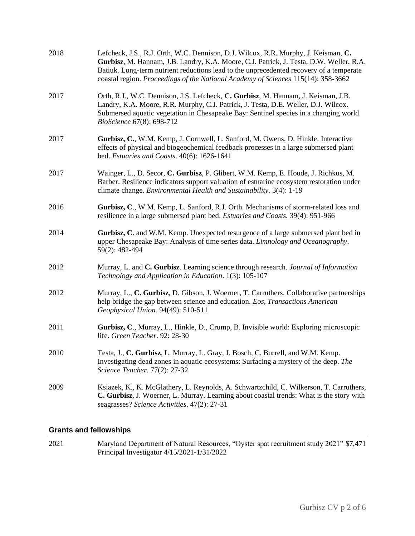| 2018 | Lefcheck, J.S., R.J. Orth, W.C. Dennison, D.J. Wilcox, R.R. Murphy, J. Keisman, C.<br>Gurbisz, M. Hannam, J.B. Landry, K.A. Moore, C.J. Patrick, J. Testa, D.W. Weller, R.A.<br>Batiuk. Long-term nutrient reductions lead to the unprecedented recovery of a temperate<br>coastal region. Proceedings of the National Academy of Sciences 115(14): 358-3662 |
|------|--------------------------------------------------------------------------------------------------------------------------------------------------------------------------------------------------------------------------------------------------------------------------------------------------------------------------------------------------------------|
| 2017 | Orth, R.J., W.C. Dennison, J.S. Lefcheck, C. Gurbisz, M. Hannam, J. Keisman, J.B.<br>Landry, K.A. Moore, R.R. Murphy, C.J. Patrick, J. Testa, D.E. Weller, D.J. Wilcox.<br>Submersed aquatic vegetation in Chesapeake Bay: Sentinel species in a changing world.<br>BioScience 67(8): 698-712                                                                |
| 2017 | Gurbisz, C., W.M. Kemp, J. Cornwell, L. Sanford, M. Owens, D. Hinkle. Interactive<br>effects of physical and biogeochemical feedback processes in a large submersed plant<br>bed. Estuaries and Coasts. 40(6): 1626-1641                                                                                                                                     |
| 2017 | Wainger, L., D. Secor, C. Gurbisz, P. Glibert, W.M. Kemp, E. Houde, J. Richkus, M.<br>Barber. Resilience indicators support valuation of estuarine ecosystem restoration under<br>climate change. <i>Environmental Health and Sustainability</i> . 3(4): 1-19                                                                                                |
| 2016 | Gurbisz, C., W.M. Kemp, L. Sanford, R.J. Orth. Mechanisms of storm-related loss and<br>resilience in a large submersed plant bed. Estuaries and Coasts. 39(4): 951-966                                                                                                                                                                                       |
| 2014 | Gurbisz, C. and W.M. Kemp. Unexpected resurgence of a large submersed plant bed in<br>upper Chesapeake Bay: Analysis of time series data. Limnology and Oceanography.<br>59(2): 482-494                                                                                                                                                                      |
| 2012 | Murray, L. and C. Gurbisz. Learning science through research. Journal of Information<br>Technology and Application in Education. 1(3): 105-107                                                                                                                                                                                                               |
| 2012 | Murray, L., C. Gurbisz, D. Gibson, J. Woerner, T. Carruthers. Collaborative partnerships<br>help bridge the gap between science and education. Eos, Transactions American<br>Geophysical Union. 94(49): 510-511                                                                                                                                              |
| 2011 | Gurbisz, C., Murray, L., Hinkle, D., Crump, B. Invisible world: Exploring microscopic<br>life. Green Teacher. 92: 28-30                                                                                                                                                                                                                                      |
| 2010 | Testa, J., C. Gurbisz, L. Murray, L. Gray, J. Bosch, C. Burrell, and W.M. Kemp.<br>Investigating dead zones in aquatic ecosystems: Surfacing a mystery of the deep. The<br>Science Teacher. 77(2): 27-32                                                                                                                                                     |
| 2009 | Ksiazek, K., K. McGlathery, L. Reynolds, A. Schwartzchild, C. Wilkerson, T. Carruthers,<br>C. Gurbisz, J. Woerner, L. Murray. Learning about coastal trends: What is the story with<br>seagrasses? Science Activities. 47(2): 27-31                                                                                                                          |

# **Grants and fellowships**

2021 Maryland Department of Natural Resources, "Oyster spat recruitment study 2021" \$7,471 Principal Investigator 4/15/2021-1/31/2022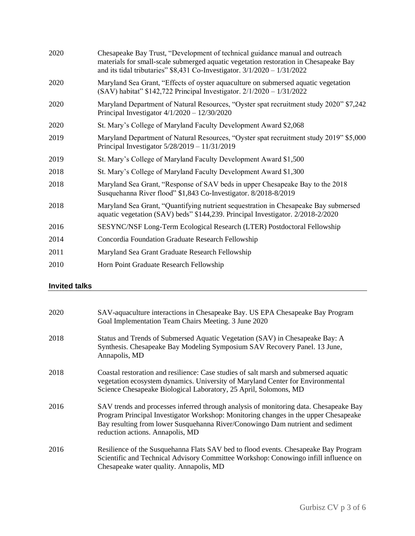| 2020 | Chesapeake Bay Trust, "Development of technical guidance manual and outreach<br>materials for small-scale submerged aquatic vegetation restoration in Chesapeake Bay<br>and its tidal tributaries" $$8,431$ Co-Investigator. $3/1/2020 - 1/31/2022$ |  |
|------|-----------------------------------------------------------------------------------------------------------------------------------------------------------------------------------------------------------------------------------------------------|--|
| 2020 | Maryland Sea Grant, "Effects of oyster aquaculture on submersed aquatic vegetation<br>(SAV) habitat" \$142,722 Principal Investigator. $2/1/2020 - 1/31/2022$                                                                                       |  |
| 2020 | Maryland Department of Natural Resources, "Oyster spat recruitment study 2020" \$7,242<br>Principal Investigator $4/1/2020 - 12/30/2020$                                                                                                            |  |
| 2020 | St. Mary's College of Maryland Faculty Development Award \$2,068                                                                                                                                                                                    |  |
| 2019 | Maryland Department of Natural Resources, "Oyster spat recruitment study 2019" \$5,000<br>Principal Investigator $5/28/2019 - 11/31/2019$                                                                                                           |  |
| 2019 | St. Mary's College of Maryland Faculty Development Award \$1,500                                                                                                                                                                                    |  |
| 2018 | St. Mary's College of Maryland Faculty Development Award \$1,300                                                                                                                                                                                    |  |
| 2018 | Maryland Sea Grant, "Response of SAV beds in upper Chesapeake Bay to the 2018<br>Susquehanna River flood" \$1,843 Co-Investigator. 8/2018-8/2019                                                                                                    |  |
| 2018 | Maryland Sea Grant, "Quantifying nutrient sequestration in Chesapeake Bay submersed<br>aquatic vegetation (SAV) beds" \$144,239. Principal Investigator. 2/2018-2/2020                                                                              |  |
| 2016 | SESYNC/NSF Long-Term Ecological Research (LTER) Postdoctoral Fellowship                                                                                                                                                                             |  |
| 2014 | Concordia Foundation Graduate Research Fellowship                                                                                                                                                                                                   |  |
| 2011 | Maryland Sea Grant Graduate Research Fellowship                                                                                                                                                                                                     |  |
| 2010 | Horn Point Graduate Research Fellowship                                                                                                                                                                                                             |  |

# **Invited talks**

| 2020 | SAV-aquaculture interactions in Chesapeake Bay. US EPA Chesapeake Bay Program<br>Goal Implementation Team Chairs Meeting. 3 June 2020                                                                                                                                                              |
|------|----------------------------------------------------------------------------------------------------------------------------------------------------------------------------------------------------------------------------------------------------------------------------------------------------|
| 2018 | Status and Trends of Submersed Aquatic Vegetation (SAV) in Chesapeake Bay: A<br>Synthesis. Chesapeake Bay Modeling Symposium SAV Recovery Panel. 13 June,<br>Annapolis, MD                                                                                                                         |
| 2018 | Coastal restoration and resilience: Case studies of salt marsh and submersed aquatic<br>vegetation ecosystem dynamics. University of Maryland Center for Environmental<br>Science Chesapeake Biological Laboratory, 25 April, Solomons, MD                                                         |
| 2016 | SAV trends and processes inferred through analysis of monitoring data. Chesapeake Bay<br>Program Principal Investigator Workshop: Monitoring changes in the upper Chesapeake<br>Bay resulting from lower Susquehanna River/Conowingo Dam nutrient and sediment<br>reduction actions. Annapolis, MD |
| 2016 | Resilience of the Susquehanna Flats SAV bed to flood events. Chesapeake Bay Program<br>Scientific and Technical Advisory Committee Workshop: Conowingo infill influence on<br>Chesapeake water quality. Annapolis, MD                                                                              |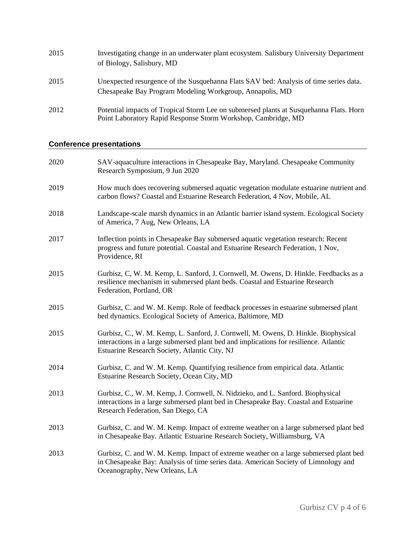| 2015 | Investigating change in an underwater plant ecosystem. Salisbury University Department<br>of Biology, Salisbury, MD                                     |
|------|---------------------------------------------------------------------------------------------------------------------------------------------------------|
| 2015 | Unexpected resurgence of the Susquehanna Flats SAV bed: Analysis of time series data.<br>Chesapeake Bay Program Modeling Workgroup, Annapolis, MD       |
| 2012 | Potential impacts of Tropical Storm Lee on submersed plants at Susquehanna Flats. Horn<br>Point Laboratory Rapid Response Storm Workshop, Cambridge, MD |

## **Conference presentations**

| 2020 | SAV-aquaculture interactions in Chesapeake Bay, Maryland. Chesapeake Community<br>Research Symposium, 9 Jun 2020                                                                                                             |
|------|------------------------------------------------------------------------------------------------------------------------------------------------------------------------------------------------------------------------------|
| 2019 | How much does recovering submersed aquatic vegetation modulate estuarine nutrient and<br>carbon flows? Coastal and Estuarine Research Federation, 4 Nov, Mobile, AL                                                          |
| 2018 | Landscape-scale marsh dynamics in an Atlantic barrier island system. Ecological Society<br>of America, 7 Aug, New Orleans, LA                                                                                                |
| 2017 | Inflection points in Chesapeake Bay submersed aquatic vegetation research: Recent<br>progress and future potential. Coastal and Estuarine Research Federation, 1 Nov,<br>Providence, RI                                      |
| 2015 | Gurbisz, C, W. M. Kemp, L. Sanford, J. Cornwell, M. Owens, D. Hinkle. Feedbacks as a<br>resilience mechanism in submersed plant beds. Coastal and Estuarine Research<br>Federation, Portland, OR                             |
| 2015 | Gurbisz, C. and W. M. Kemp. Role of feedback processes in estuarine submersed plant<br>bed dynamics. Ecological Society of America, Baltimore, MD                                                                            |
| 2015 | Gurbisz, C., W. M. Kemp, L. Sanford, J. Cornwell, M. Owens, D. Hinkle. Biophysical<br>interactions in a large submersed plant bed and implications for resilience. Atlantic<br>Estuarine Research Society, Atlantic City, NJ |
| 2014 | Gurbisz, C. and W. M. Kemp. Quantifying resilience from empirical data. Atlantic<br>Estuarine Research Society, Ocean City, MD                                                                                               |
| 2013 | Gurbisz, C., W. M. Kemp, J. Cornwell, N. Nidzieko, and L. Sanford. Biophysical<br>interactions in a large submersed plant bed in Chesapeake Bay. Coastal and Estuarine<br>Research Federation, San Diego, CA                 |
| 2013 | Gurbisz, C. and W. M. Kemp. Impact of extreme weather on a large submersed plant bed<br>in Chesapeake Bay. Atlantic Estuarine Research Society, Williamsburg, VA                                                             |
| 2013 | Gurbisz, C. and W. M. Kemp. Impact of extreme weather on a large submersed plant bed<br>in Chesapeake Bay: Analysis of time series data. American Society of Limnology and<br>Oceanography, New Orleans, LA                  |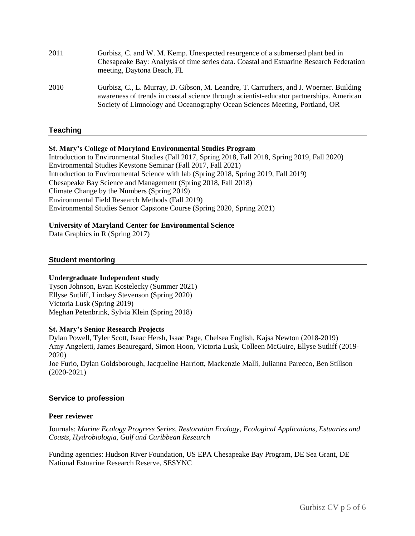| 2011 | Gurbisz, C. and W. M. Kemp. Unexpected resurgence of a submersed plant bed in<br>Chesapeake Bay: Analysis of time series data. Coastal and Estuarine Research Federation<br>meeting, Daytona Beach, FL                                                           |
|------|------------------------------------------------------------------------------------------------------------------------------------------------------------------------------------------------------------------------------------------------------------------|
| 2010 | Gurbisz, C., L. Murray, D. Gibson, M. Leandre, T. Carruthers, and J. Woerner. Building<br>awareness of trends in coastal science through scientist-educator partnerships. American<br>Society of Limnology and Oceanography Ocean Sciences Meeting, Portland, OR |

### **Teaching**

#### **St. Mary's College of Maryland Environmental Studies Program**

Introduction to Environmental Studies (Fall 2017, Spring 2018, Fall 2018, Spring 2019, Fall 2020) Environmental Studies Keystone Seminar (Fall 2017, Fall 2021) Introduction to Environmental Science with lab (Spring 2018, Spring 2019, Fall 2019) Chesapeake Bay Science and Management (Spring 2018, Fall 2018) Climate Change by the Numbers (Spring 2019) Environmental Field Research Methods (Fall 2019) Environmental Studies Senior Capstone Course (Spring 2020, Spring 2021)

#### **University of Maryland Center for Environmental Science**

Data Graphics in R (Spring 2017)

#### **Student mentoring**

#### **Undergraduate Independent study**

Tyson Johnson, Evan Kostelecky (Summer 2021) Ellyse Sutliff, Lindsey Stevenson (Spring 2020) Victoria Lusk (Spring 2019) Meghan Petenbrink, Sylvia Klein (Spring 2018)

#### **St. Mary's Senior Research Projects**

Dylan Powell, Tyler Scott, Isaac Hersh, Isaac Page, Chelsea English, Kajsa Newton (2018-2019) Amy Angeletti, James Beauregard, Simon Hoon, Victoria Lusk, Colleen McGuire, Ellyse Sutliff (2019- 2020)

Joe Furio, Dylan Goldsborough, Jacqueline Harriott, Mackenzie Malli, Julianna Parecco, Ben Stillson (2020-2021)

### **Service to profession**

#### **Peer reviewer**

Journals: *Marine Ecology Progress Series*, *Restoration Ecology*, *Ecological Applications, Estuaries and Coasts, Hydrobiologia, Gulf and Caribbean Research*

Funding agencies: Hudson River Foundation, US EPA Chesapeake Bay Program, DE Sea Grant, DE National Estuarine Research Reserve, SESYNC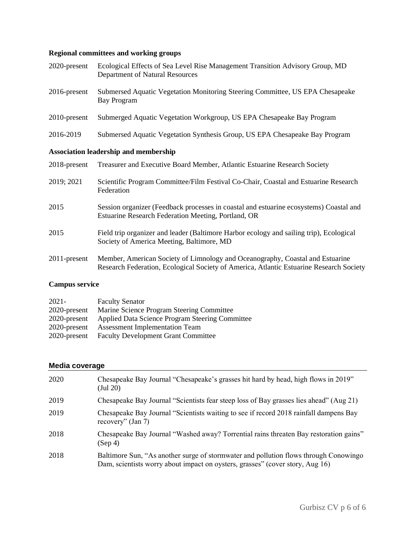# **Regional committees and working groups**

| 2020-present | Ecological Effects of Sea Level Rise Management Transition Advisory Group, MD<br>Department of Natural Resources                                                         |  |
|--------------|--------------------------------------------------------------------------------------------------------------------------------------------------------------------------|--|
| 2016-present | Submersed Aquatic Vegetation Monitoring Steering Committee, US EPA Chesapeake<br><b>Bay Program</b>                                                                      |  |
| 2010-present | Submerged Aquatic Vegetation Workgroup, US EPA Chesapeake Bay Program                                                                                                    |  |
| 2016-2019    | Submersed Aquatic Vegetation Synthesis Group, US EPA Chesapeake Bay Program                                                                                              |  |
|              | <b>Association leadership and membership</b>                                                                                                                             |  |
| 2018-present | Treasurer and Executive Board Member, Atlantic Estuarine Research Society                                                                                                |  |
| 2019; 2021   | Scientific Program Committee/Film Festival Co-Chair, Coastal and Estuarine Research<br>Federation                                                                        |  |
| 2015         | Session organizer (Feedback processes in coastal and estuarine ecosystems) Coastal and<br>Estuarine Research Federation Meeting, Portland, OR                            |  |
| 2015         | Field trip organizer and leader (Baltimore Harbor ecology and sailing trip), Ecological<br>Society of America Meeting, Baltimore, MD                                     |  |
| 2011-present | Member, American Society of Limnology and Oceanography, Coastal and Estuarine<br>Research Federation, Ecological Society of America, Atlantic Estuarine Research Society |  |

# **Campus service**

| $2021 -$     | <b>Faculty Senator</b>                          |
|--------------|-------------------------------------------------|
| 2020-present | Marine Science Program Steering Committee       |
| 2020-present | Applied Data Science Program Steering Committee |
| 2020-present | <b>Assessment Implementation Team</b>           |
| 2020-present | <b>Faculty Development Grant Committee</b>      |
|              |                                                 |

## **Media coverage**

| Chesapeake Bay Journal "Chesapeake's grasses hit hard by head, high flows in 2019"<br>$($ Jul 20 $)$                                                                  |
|-----------------------------------------------------------------------------------------------------------------------------------------------------------------------|
| Chesapeake Bay Journal "Scientists fear steep loss of Bay grasses lies ahead" (Aug 21)                                                                                |
| Chesapeake Bay Journal "Scientists waiting to see if record 2018 rainfall dampens Bay<br>recovery" (Jan 7)                                                            |
| Chesapeake Bay Journal "Washed away? Torrential rains threaten Bay restoration gains"<br>(Sep 4)                                                                      |
| Baltimore Sun, "As another surge of stormwater and pollution flows through Conowingo<br>Dam, scientists worry about impact on oysters, grasses" (cover story, Aug 16) |
|                                                                                                                                                                       |